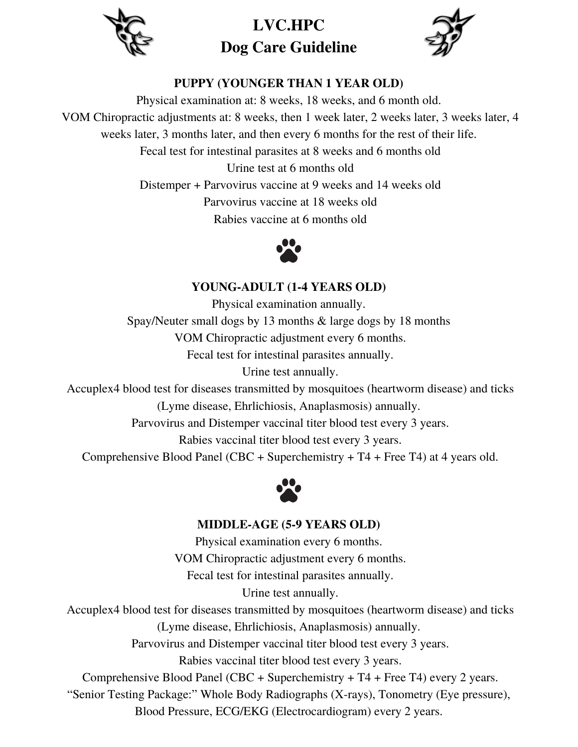

**LVC.HPC Dog Care Guideline**



# **PUPPY (YOUNGER THAN 1 YEAR OLD)**

Physical examination at: 8 weeks, 18 weeks, and 6 month old. VOM Chiropractic adjustments at: 8 weeks, then 1 week later, 2 weeks later, 3 weeks later, 4 weeks later, 3 months later, and then every 6 months for the rest of their life. Fecal test for intestinal parasites at 8 weeks and 6 months old Urine test at 6 months old Distemper + Parvovirus vaccine at 9 weeks and 14 weeks old Parvovirus vaccine at 18 weeks old

Rabies vaccine at 6 months old



## **YOUNG-ADULT (1-4 YEARS OLD)**

Physical examination annually. Spay/Neuter small dogs by 13 months & large dogs by 18 months VOM Chiropractic adjustment every 6 months. Fecal test for intestinal parasites annually. Urine test annually.

Accuplex4 blood test for diseases transmitted by mosquitoes (heartworm disease) and ticks (Lyme disease, Ehrlichiosis, Anaplasmosis) annually.

Parvovirus and Distemper vaccinal titer blood test every 3 years.

Rabies vaccinal titer blood test every 3 years.

Comprehensive Blood Panel (CBC + Superchemistry + T4 + Free T4) at 4 years old.



#### **MIDDLE-AGE (5-9 YEARS OLD)**

Physical examination every 6 months. VOM Chiropractic adjustment every 6 months. Fecal test for intestinal parasites annually. Urine test annually.

Accuplex4 blood test for diseases transmitted by mosquitoes (heartworm disease) and ticks (Lyme disease, Ehrlichiosis, Anaplasmosis) annually.

Parvovirus and Distemper vaccinal titer blood test every 3 years.

Rabies vaccinal titer blood test every 3 years.

Comprehensive Blood Panel (CBC + Superchemistry + T4 + Free T4) every 2 years.

"Senior Testing Package:" Whole Body Radiographs (X-rays), Tonometry (Eye pressure),

Blood Pressure, ECG/EKG (Electrocardiogram) every 2 years.